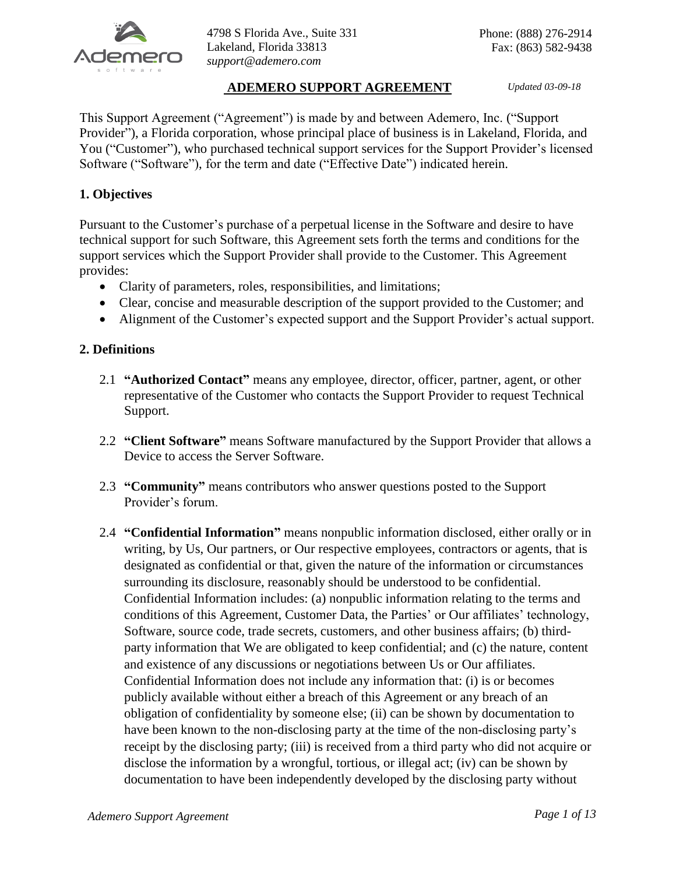

4798 S Florida Ave., Suite 331 Lakeland, Florida 33813 *support@ademero.com*

# **ADEMERO SUPPORT AGREEMENT** *Updated 03-09-18*

This Support Agreement ("Agreement") is made by and between Ademero, Inc. ("Support Provider"), a Florida corporation, whose principal place of business is in Lakeland, Florida, and You ("Customer"), who purchased technical support services for the Support Provider's licensed Software ("Software"), for the term and date ("Effective Date") indicated herein.

# **1. Objectives**

Pursuant to the Customer's purchase of a perpetual license in the Software and desire to have technical support for such Software, this Agreement sets forth the terms and conditions for the support services which the Support Provider shall provide to the Customer. This Agreement provides:

- Clarity of parameters, roles, responsibilities, and limitations;
- Clear, concise and measurable description of the support provided to the Customer; and
- Alignment of the Customer's expected support and the Support Provider's actual support.

## **2. Definitions**

- 2.1 **"Authorized Contact"** means any employee, director, officer, partner, agent, or other representative of the Customer who contacts the Support Provider to request Technical Support.
- 2.2 **"Client Software"** means Software manufactured by the Support Provider that allows a Device to access the Server Software.
- 2.3 **"Community"** means contributors who answer questions posted to the Support Provider's forum.
- 2.4 **"Confidential Information"** means nonpublic information disclosed, either orally or in writing, by Us, Our partners, or Our respective employees, contractors or agents, that is designated as confidential or that, given the nature of the information or circumstances surrounding its disclosure, reasonably should be understood to be confidential. Confidential Information includes: (a) nonpublic information relating to the terms and conditions of this Agreement, Customer Data, the Parties' or Our affiliates' technology, Software, source code, trade secrets, customers, and other business affairs; (b) thirdparty information that We are obligated to keep confidential; and (c) the nature, content and existence of any discussions or negotiations between Us or Our affiliates. Confidential Information does not include any information that: (i) is or becomes publicly available without either a breach of this Agreement or any breach of an obligation of confidentiality by someone else; (ii) can be shown by documentation to have been known to the non-disclosing party at the time of the non-disclosing party's receipt by the disclosing party; (iii) is received from a third party who did not acquire or disclose the information by a wrongful, tortious, or illegal act; (iv) can be shown by documentation to have been independently developed by the disclosing party without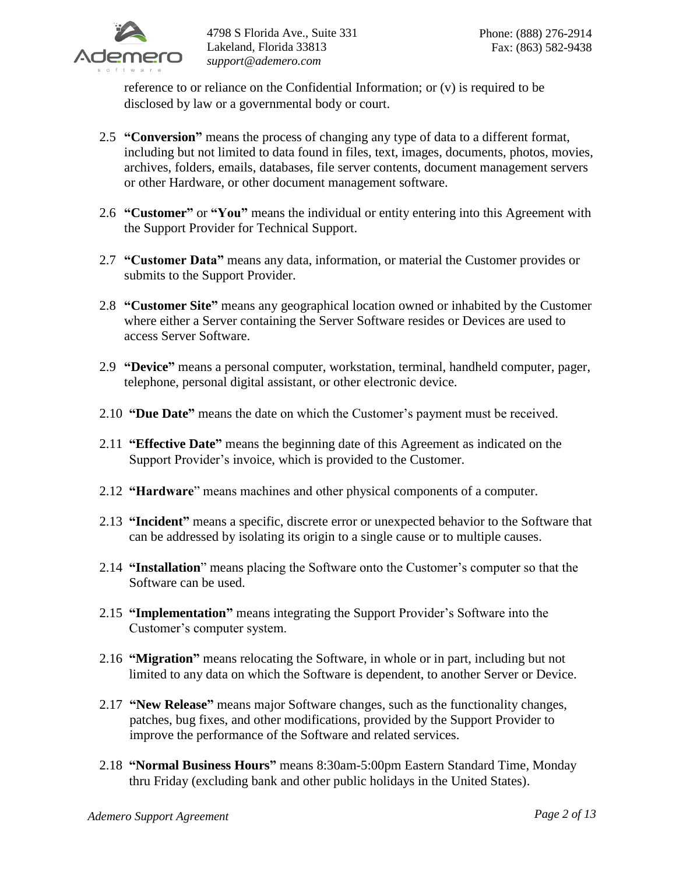

reference to or reliance on the Confidential Information; or (v) is required to be disclosed by law or a governmental body or court.

- 2.5 **"Conversion"** means the process of changing any type of data to a different format, including but not limited to data found in files, text, images, documents, photos, movies, archives, folders, emails, databases, file server contents, document management servers or other Hardware, or other document management software.
- 2.6 **"Customer"** or **"You"** means the individual or entity entering into this Agreement with the Support Provider for Technical Support.
- 2.7 **"Customer Data"** means any data, information, or material the Customer provides or submits to the Support Provider.
- 2.8 **"Customer Site"** means any geographical location owned or inhabited by the Customer where either a Server containing the Server Software resides or Devices are used to access Server Software.
- 2.9 **"Device"** means a personal computer, workstation, terminal, handheld computer, pager, telephone, personal digital assistant, or other electronic device.
- 2.10 **"Due Date"** means the date on which the Customer's payment must be received.
- 2.11 **"Effective Date"** means the beginning date of this Agreement as indicated on the Support Provider's invoice, which is provided to the Customer.
- 2.12 **"Hardware**" means machines and other physical components of a computer.
- 2.13 **"Incident"** means a specific, discrete error or unexpected behavior to the Software that can be addressed by isolating its origin to a single cause or to multiple causes.
- 2.14 **"Installation**" means placing the Software onto the Customer's computer so that the Software can be used.
- 2.15 **"Implementation"** means integrating the Support Provider's Software into the Customer's computer system.
- 2.16 **"Migration"** means relocating the Software, in whole or in part, including but not limited to any data on which the Software is dependent, to another Server or Device.
- 2.17 **"New Release"** means major Software changes, such as the functionality changes, patches, bug fixes, and other modifications, provided by the Support Provider to improve the performance of the Software and related services.
- 2.18 **"Normal Business Hours"** means 8:30am-5:00pm Eastern Standard Time, Monday thru Friday (excluding bank and other public holidays in the United States).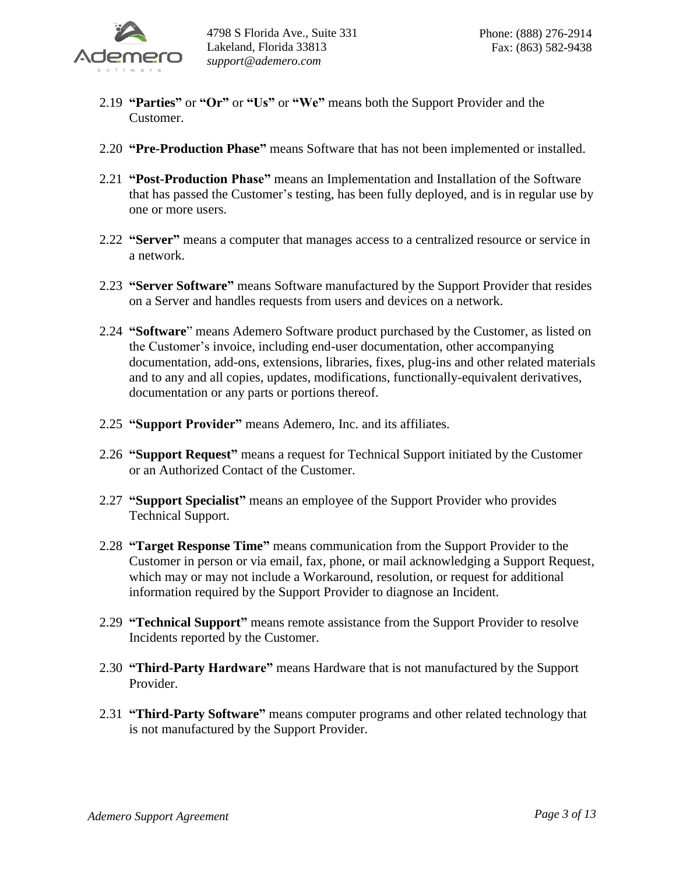

- 2.19 **"Parties"** or **"Or"** or **"Us"** or **"We"** means both the Support Provider and the Customer.
- 2.20 **"Pre-Production Phase"** means Software that has not been implemented or installed.
- 2.21 **"Post-Production Phase"** means an Implementation and Installation of the Software that has passed the Customer's testing, has been fully deployed, and is in regular use by one or more users.
- 2.22 **"Server"** means a computer that manages access to a centralized resource or service in a network.
- 2.23 **"Server Software"** means Software manufactured by the Support Provider that resides on a Server and handles requests from users and devices on a network.
- 2.24 **"Software**" means Ademero Software product purchased by the Customer, as listed on the Customer's invoice, including end-user documentation, other accompanying documentation, add-ons, extensions, libraries, fixes, plug-ins and other related materials and to any and all copies, updates, modifications, functionally-equivalent derivatives, documentation or any parts or portions thereof.
- 2.25 **"Support Provider"** means Ademero, Inc. and its affiliates.
- 2.26 **"Support Request"** means a request for Technical Support initiated by the Customer or an Authorized Contact of the Customer.
- 2.27 **"Support Specialist"** means an employee of the Support Provider who provides Technical Support.
- 2.28 **"Target Response Time"** means communication from the Support Provider to the Customer in person or via email, fax, phone, or mail acknowledging a Support Request, which may or may not include a Workaround, resolution, or request for additional information required by the Support Provider to diagnose an Incident.
- 2.29 **"Technical Support"** means remote assistance from the Support Provider to resolve Incidents reported by the Customer.
- 2.30 **"Third-Party Hardware"** means Hardware that is not manufactured by the Support Provider.
- 2.31 **"Third-Party Software"** means computer programs and other related technology that is not manufactured by the Support Provider.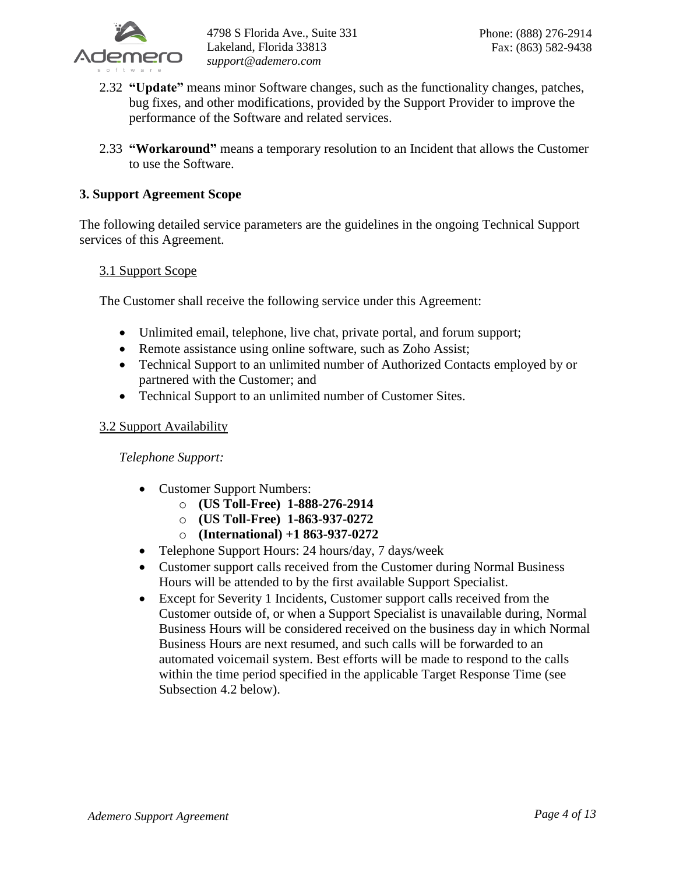

- 2.32 **"Update"** means minor Software changes, such as the functionality changes, patches, bug fixes, and other modifications, provided by the Support Provider to improve the performance of the Software and related services.
- 2.33 **"Workaround"** means a temporary resolution to an Incident that allows the Customer to use the Software.

# **3. Support Agreement Scope**

The following detailed service parameters are the guidelines in the ongoing Technical Support services of this Agreement.

## 3.1 Support Scope

The Customer shall receive the following service under this Agreement:

- Unlimited email, telephone, live chat, private portal, and forum support;
- Remote assistance using online software, such as Zoho Assist;
- Technical Support to an unlimited number of Authorized Contacts employed by or partnered with the Customer; and
- Technical Support to an unlimited number of Customer Sites.

## 3.2 Support Availability

*Telephone Support:*

- Customer Support Numbers:
	- o **(US Toll-Free) 1-888-276-2914**
	- o **(US Toll-Free) 1-863-937-0272**
	- o **(International) +1 863-937-0272**
- Telephone Support Hours: 24 hours/day, 7 days/week
- Customer support calls received from the Customer during Normal Business Hours will be attended to by the first available Support Specialist.
- Except for Severity 1 Incidents, Customer support calls received from the Customer outside of, or when a Support Specialist is unavailable during, Normal Business Hours will be considered received on the business day in which Normal Business Hours are next resumed, and such calls will be forwarded to an automated voicemail system. Best efforts will be made to respond to the calls within the time period specified in the applicable Target Response Time (see Subsection 4.2 below).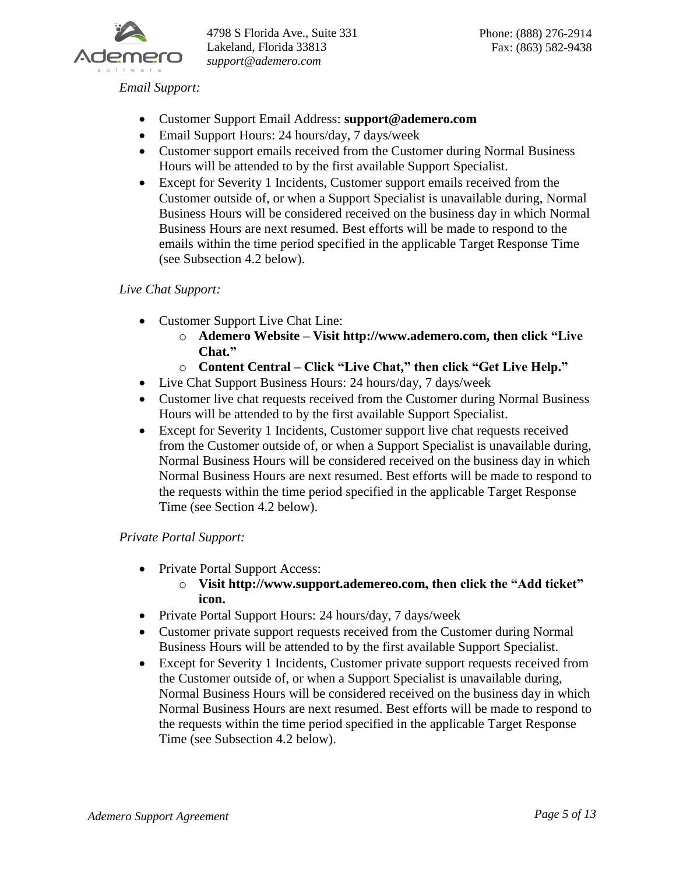

4798 S Florida Ave., Suite 331 Lakeland, Florida 33813 *support@ademero.com*

*Email Support:*

- Customer Support Email Address: **support@ademero.com**
- Email Support Hours: 24 hours/day, 7 days/week
- Customer support emails received from the Customer during Normal Business Hours will be attended to by the first available Support Specialist.
- Except for Severity 1 Incidents, Customer support emails received from the Customer outside of, or when a Support Specialist is unavailable during, Normal Business Hours will be considered received on the business day in which Normal Business Hours are next resumed. Best efforts will be made to respond to the emails within the time period specified in the applicable Target Response Time (see Subsection 4.2 below).

## *Live Chat Support:*

- Customer Support Live Chat Line:
	- o **Ademero Website – Visit http://www.ademero.com, then click "Live Chat."**
	- o **Content Central – Click "Live Chat," then click "Get Live Help."**
- Live Chat Support Business Hours: 24 hours/day, 7 days/week
- Customer live chat requests received from the Customer during Normal Business Hours will be attended to by the first available Support Specialist.
- Except for Severity 1 Incidents, Customer support live chat requests received from the Customer outside of, or when a Support Specialist is unavailable during, Normal Business Hours will be considered received on the business day in which Normal Business Hours are next resumed. Best efforts will be made to respond to the requests within the time period specified in the applicable Target Response Time (see Section 4.2 below).

*Private Portal Support:*

- Private Portal Support Access:
	- o **Visit http://www.support.ademereo.com, then click the "Add ticket" icon.**
- Private Portal Support Hours: 24 hours/day, 7 days/week
- Customer private support requests received from the Customer during Normal Business Hours will be attended to by the first available Support Specialist.
- Except for Severity 1 Incidents, Customer private support requests received from the Customer outside of, or when a Support Specialist is unavailable during, Normal Business Hours will be considered received on the business day in which Normal Business Hours are next resumed. Best efforts will be made to respond to the requests within the time period specified in the applicable Target Response Time (see Subsection 4.2 below).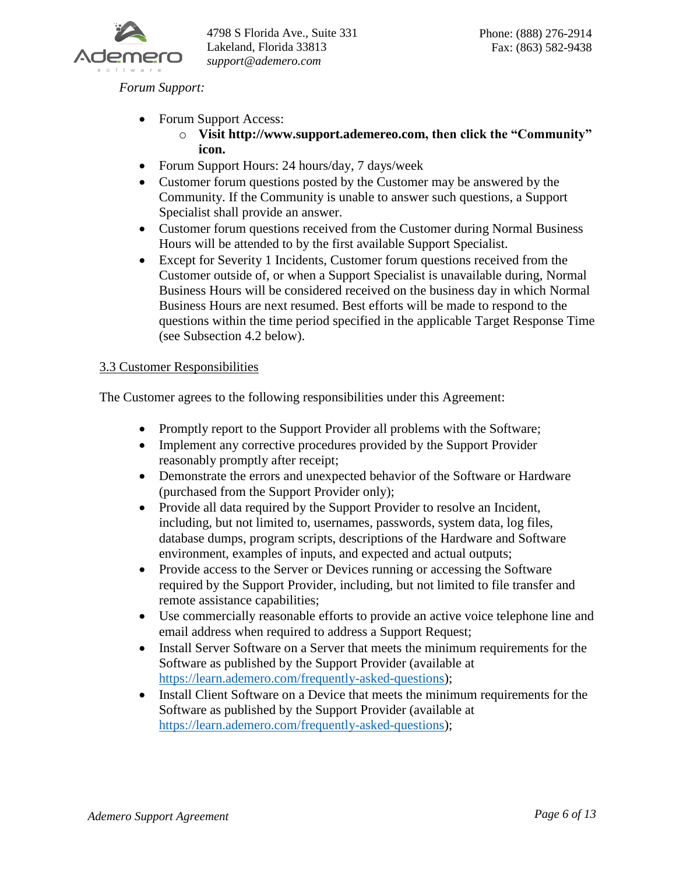

*Forum Support:*

- Forum Support Access:
	- o **Visit http://www.support.ademereo.com, then click the "Community" icon.**
- Forum Support Hours: 24 hours/day, 7 days/week
- Customer forum questions posted by the Customer may be answered by the Community. If the Community is unable to answer such questions, a Support Specialist shall provide an answer.
- Customer forum questions received from the Customer during Normal Business Hours will be attended to by the first available Support Specialist.
- Except for Severity 1 Incidents, Customer forum questions received from the Customer outside of, or when a Support Specialist is unavailable during, Normal Business Hours will be considered received on the business day in which Normal Business Hours are next resumed. Best efforts will be made to respond to the questions within the time period specified in the applicable Target Response Time (see Subsection 4.2 below).

## 3.3 Customer Responsibilities

The Customer agrees to the following responsibilities under this Agreement:

- Promptly report to the Support Provider all problems with the Software;
- Implement any corrective procedures provided by the Support Provider reasonably promptly after receipt;
- Demonstrate the errors and unexpected behavior of the Software or Hardware (purchased from the Support Provider only);
- Provide all data required by the Support Provider to resolve an Incident, including, but not limited to, usernames, passwords, system data, log files, database dumps, program scripts, descriptions of the Hardware and Software environment, examples of inputs, and expected and actual outputs;
- Provide access to the Server or Devices running or accessing the Software required by the Support Provider, including, but not limited to file transfer and remote assistance capabilities;
- Use commercially reasonable efforts to provide an active voice telephone line and email address when required to address a Support Request;
- Install Server Software on a Server that meets the minimum requirements for the Software as published by the Support Provider (available at [https://learn.ademero.com/frequently-asked-questions\)](https://learn.ademero.com/frequently-asked-questions);
- Install Client Software on a Device that meets the minimum requirements for the Software as published by the Support Provider (available at [https://learn.ademero.com/frequently-asked-questions\)](https://learn.ademero.com/frequently-asked-questions);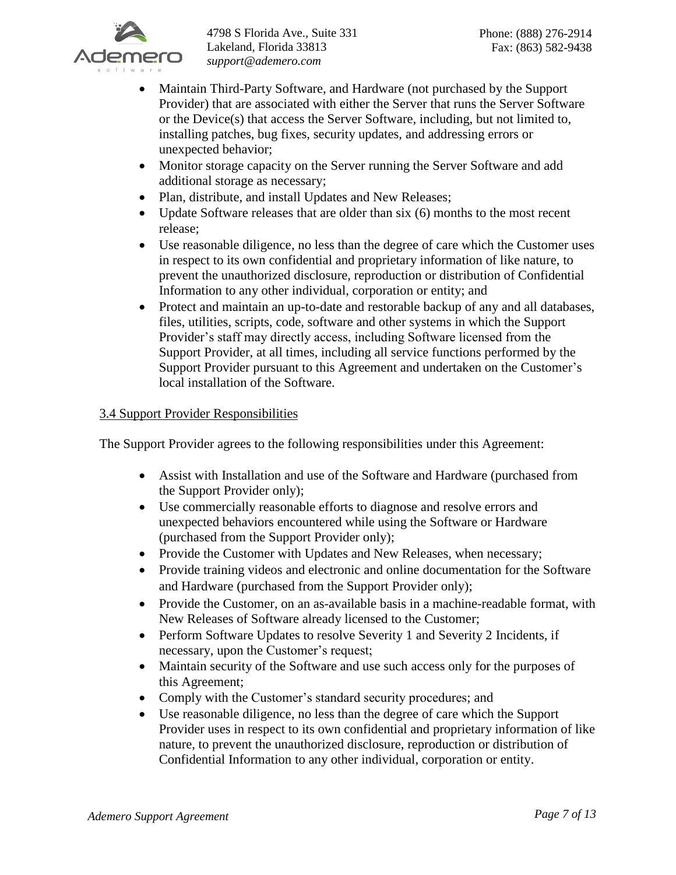

- Maintain Third-Party Software, and Hardware (not purchased by the Support Provider) that are associated with either the Server that runs the Server Software or the Device(s) that access the Server Software, including, but not limited to, installing patches, bug fixes, security updates, and addressing errors or unexpected behavior;
- Monitor storage capacity on the Server running the Server Software and add additional storage as necessary;
- Plan, distribute, and install Updates and New Releases;
- Update Software releases that are older than six (6) months to the most recent release;
- Use reasonable diligence, no less than the degree of care which the Customer uses in respect to its own confidential and proprietary information of like nature, to prevent the unauthorized disclosure, reproduction or distribution of Confidential Information to any other individual, corporation or entity; and
- Protect and maintain an up-to-date and restorable backup of any and all databases, files, utilities, scripts, code, software and other systems in which the Support Provider's staff may directly access, including Software licensed from the Support Provider, at all times, including all service functions performed by the Support Provider pursuant to this Agreement and undertaken on the Customer's local installation of the Software.

# 3.4 Support Provider Responsibilities

The Support Provider agrees to the following responsibilities under this Agreement:

- Assist with Installation and use of the Software and Hardware (purchased from the Support Provider only);
- Use commercially reasonable efforts to diagnose and resolve errors and unexpected behaviors encountered while using the Software or Hardware (purchased from the Support Provider only);
- Provide the Customer with Updates and New Releases, when necessary;
- Provide training videos and electronic and online documentation for the Software and Hardware (purchased from the Support Provider only);
- Provide the Customer, on an as-available basis in a machine-readable format, with New Releases of Software already licensed to the Customer;
- Perform Software Updates to resolve Severity 1 and Severity 2 Incidents, if necessary, upon the Customer's request;
- Maintain security of the Software and use such access only for the purposes of this Agreement;
- Comply with the Customer's standard security procedures; and
- Use reasonable diligence, no less than the degree of care which the Support Provider uses in respect to its own confidential and proprietary information of like nature, to prevent the unauthorized disclosure, reproduction or distribution of Confidential Information to any other individual, corporation or entity.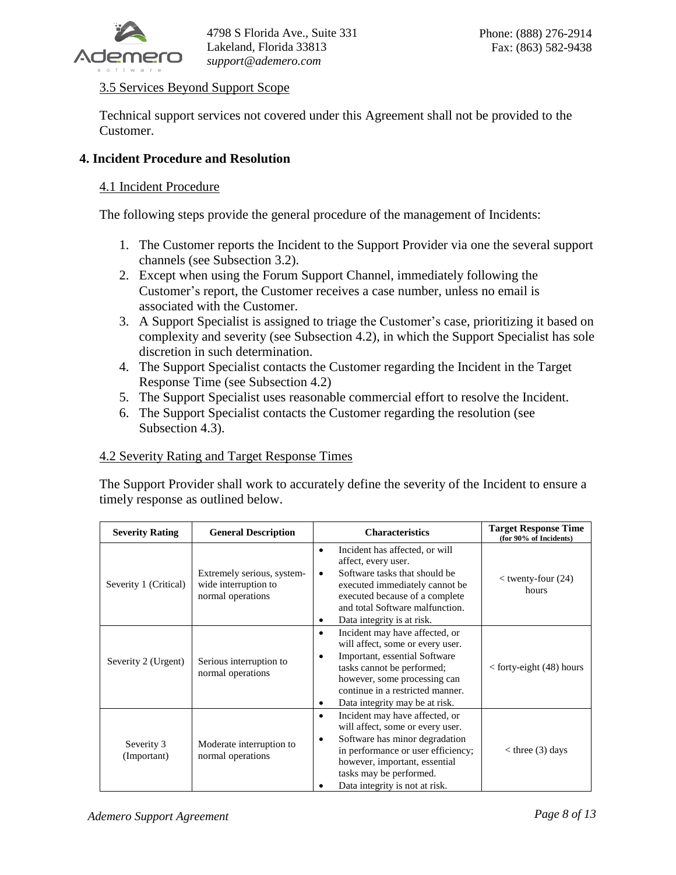

# 3.5 Services Beyond Support Scope

Technical support services not covered under this Agreement shall not be provided to the Customer.

# **4. Incident Procedure and Resolution**

## 4.1 Incident Procedure

The following steps provide the general procedure of the management of Incidents:

- 1. The Customer reports the Incident to the Support Provider via one the several support channels (see Subsection 3.2).
- 2. Except when using the Forum Support Channel, immediately following the Customer's report, the Customer receives a case number, unless no email is associated with the Customer.
- 3. A Support Specialist is assigned to triage the Customer's case, prioritizing it based on complexity and severity (see Subsection 4.2), in which the Support Specialist has sole discretion in such determination.
- 4. The Support Specialist contacts the Customer regarding the Incident in the Target Response Time (see Subsection 4.2)
- 5. The Support Specialist uses reasonable commercial effort to resolve the Incident.
- 6. The Support Specialist contacts the Customer regarding the resolution (see Subsection 4.3).

## 4.2 Severity Rating and Target Response Times

The Support Provider shall work to accurately define the severity of the Incident to ensure a timely response as outlined below.

| <b>Severity Rating</b>    | <b>General Description</b>                                              | <b>Characteristics</b>                                                                                                                                                                                                                                     | <b>Target Response Time</b><br>(for 90% of Incidents) |
|---------------------------|-------------------------------------------------------------------------|------------------------------------------------------------------------------------------------------------------------------------------------------------------------------------------------------------------------------------------------------------|-------------------------------------------------------|
| Severity 1 (Critical)     | Extremely serious, system-<br>wide interruption to<br>normal operations | Incident has affected, or will<br>٠<br>affect, every user.<br>Software tasks that should be<br>$\bullet$<br>executed immediately cannot be<br>executed because of a complete<br>and total Software malfunction.<br>Data integrity is at risk.<br>٠         | $<$ twenty-four (24)<br>hours                         |
| Severity 2 (Urgent)       | Serious interruption to<br>normal operations                            | Incident may have affected, or<br>٠<br>will affect, some or every user.<br>Important, essential Software<br>٠<br>tasks cannot be performed;<br>however, some processing can<br>continue in a restricted manner.<br>Data integrity may be at risk.<br>٠     | $\epsilon$ forty-eight (48) hours                     |
| Severity 3<br>(Important) | Moderate interruption to<br>normal operations                           | Incident may have affected, or<br>$\bullet$<br>will affect, some or every user.<br>Software has minor degradation<br>٠<br>in performance or user efficiency;<br>however, important, essential<br>tasks may be performed.<br>Data integrity is not at risk. | $<$ three (3) days                                    |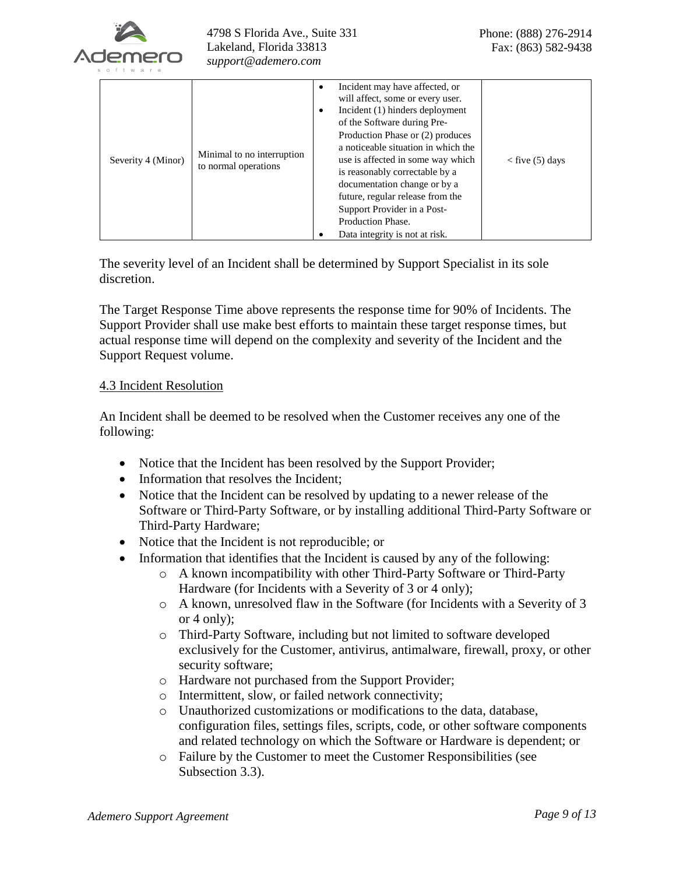

| Severity 4 (Minor) | Minimal to no interruption<br>to normal operations | Incident may have affected, or<br>٠<br>will affect, some or every user.<br>Incident (1) hinders deployment<br>$\bullet$<br>of the Software during Pre-<br>Production Phase or (2) produces<br>a noticeable situation in which the<br>use is affected in some way which<br>is reasonably correctable by a<br>documentation change or by a<br>future, regular release from the<br>Support Provider in a Post-<br>Production Phase.<br>Data integrity is not at risk. | $<$ five (5) days |
|--------------------|----------------------------------------------------|--------------------------------------------------------------------------------------------------------------------------------------------------------------------------------------------------------------------------------------------------------------------------------------------------------------------------------------------------------------------------------------------------------------------------------------------------------------------|-------------------|
|--------------------|----------------------------------------------------|--------------------------------------------------------------------------------------------------------------------------------------------------------------------------------------------------------------------------------------------------------------------------------------------------------------------------------------------------------------------------------------------------------------------------------------------------------------------|-------------------|

The severity level of an Incident shall be determined by Support Specialist in its sole discretion.

The Target Response Time above represents the response time for 90% of Incidents. The Support Provider shall use make best efforts to maintain these target response times, but actual response time will depend on the complexity and severity of the Incident and the Support Request volume.

## 4.3 Incident Resolution

An Incident shall be deemed to be resolved when the Customer receives any one of the following:

- Notice that the Incident has been resolved by the Support Provider;
- Information that resolves the Incident;
- Notice that the Incident can be resolved by updating to a newer release of the Software or Third-Party Software, or by installing additional Third-Party Software or Third-Party Hardware;
- Notice that the Incident is not reproducible; or
- Information that identifies that the Incident is caused by any of the following:
	- o A known incompatibility with other Third-Party Software or Third-Party Hardware (for Incidents with a Severity of 3 or 4 only);
	- o A known, unresolved flaw in the Software (for Incidents with a Severity of 3 or 4 only);
	- o Third-Party Software, including but not limited to software developed exclusively for the Customer, antivirus, antimalware, firewall, proxy, or other security software;
	- o Hardware not purchased from the Support Provider;
	- o Intermittent, slow, or failed network connectivity;
	- o Unauthorized customizations or modifications to the data, database, configuration files, settings files, scripts, code, or other software components and related technology on which the Software or Hardware is dependent; or
	- o Failure by the Customer to meet the Customer Responsibilities (see Subsection 3.3).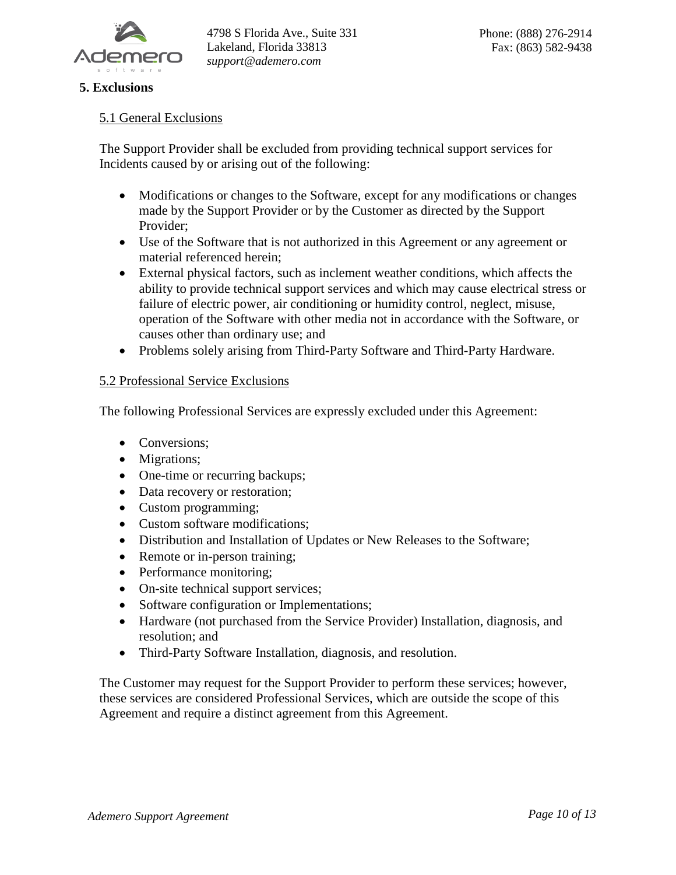

# **5. Exclusions**

## 5.1 General Exclusions

The Support Provider shall be excluded from providing technical support services for Incidents caused by or arising out of the following:

- Modifications or changes to the Software, except for any modifications or changes made by the Support Provider or by the Customer as directed by the Support Provider;
- Use of the Software that is not authorized in this Agreement or any agreement or material referenced herein;
- External physical factors, such as inclement weather conditions, which affects the ability to provide technical support services and which may cause electrical stress or failure of electric power, air conditioning or humidity control, neglect, misuse, operation of the Software with other media not in accordance with the Software, or causes other than ordinary use; and
- Problems solely arising from Third-Party Software and Third-Party Hardware.

## 5.2 Professional Service Exclusions

The following Professional Services are expressly excluded under this Agreement:

- Conversions;
- Migrations:
- One-time or recurring backups;
- Data recovery or restoration;
- Custom programming;
- Custom software modifications;
- Distribution and Installation of Updates or New Releases to the Software;
- Remote or in-person training;
- Performance monitoring;
- On-site technical support services;
- Software configuration or Implementations;
- Hardware (not purchased from the Service Provider) Installation, diagnosis, and resolution; and
- Third-Party Software Installation, diagnosis, and resolution.

The Customer may request for the Support Provider to perform these services; however, these services are considered Professional Services, which are outside the scope of this Agreement and require a distinct agreement from this Agreement.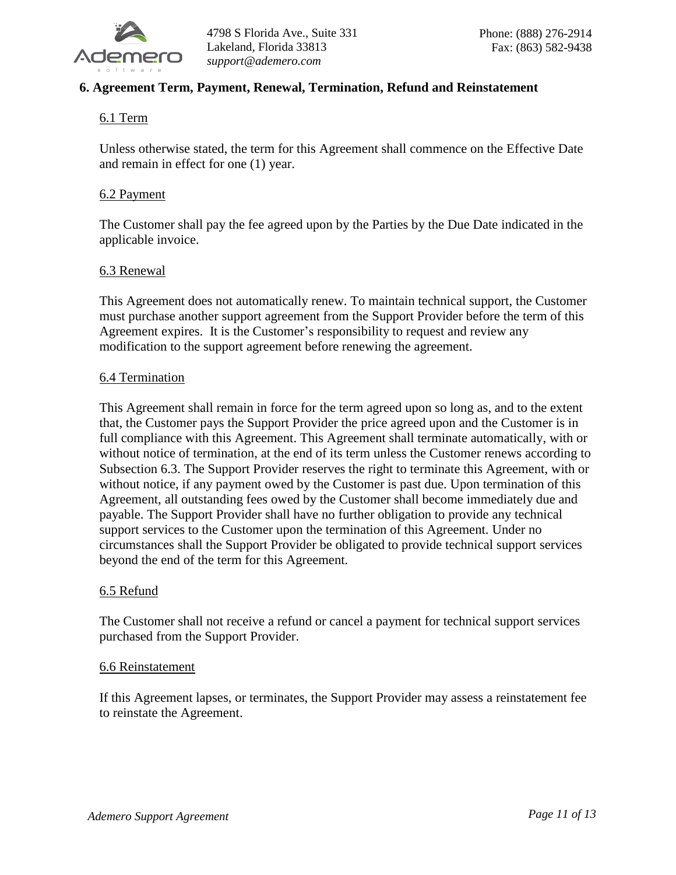

# **6. Agreement Term, Payment, Renewal, Termination, Refund and Reinstatement**

# 6.1 Term

Unless otherwise stated, the term for this Agreement shall commence on the Effective Date and remain in effect for one (1) year.

#### 6.2 Payment

The Customer shall pay the fee agreed upon by the Parties by the Due Date indicated in the applicable invoice.

#### 6.3 Renewal

This Agreement does not automatically renew. To maintain technical support, the Customer must purchase another support agreement from the Support Provider before the term of this Agreement expires. It is the Customer's responsibility to request and review any modification to the support agreement before renewing the agreement.

#### 6.4 Termination

This Agreement shall remain in force for the term agreed upon so long as, and to the extent that, the Customer pays the Support Provider the price agreed upon and the Customer is in full compliance with this Agreement. This Agreement shall terminate automatically, with or without notice of termination, at the end of its term unless the Customer renews according to Subsection 6.3. The Support Provider reserves the right to terminate this Agreement, with or without notice, if any payment owed by the Customer is past due. Upon termination of this Agreement, all outstanding fees owed by the Customer shall become immediately due and payable. The Support Provider shall have no further obligation to provide any technical support services to the Customer upon the termination of this Agreement. Under no circumstances shall the Support Provider be obligated to provide technical support services beyond the end of the term for this Agreement.

#### 6.5 Refund

The Customer shall not receive a refund or cancel a payment for technical support services purchased from the Support Provider.

#### 6.6 Reinstatement

If this Agreement lapses, or terminates, the Support Provider may assess a reinstatement fee to reinstate the Agreement.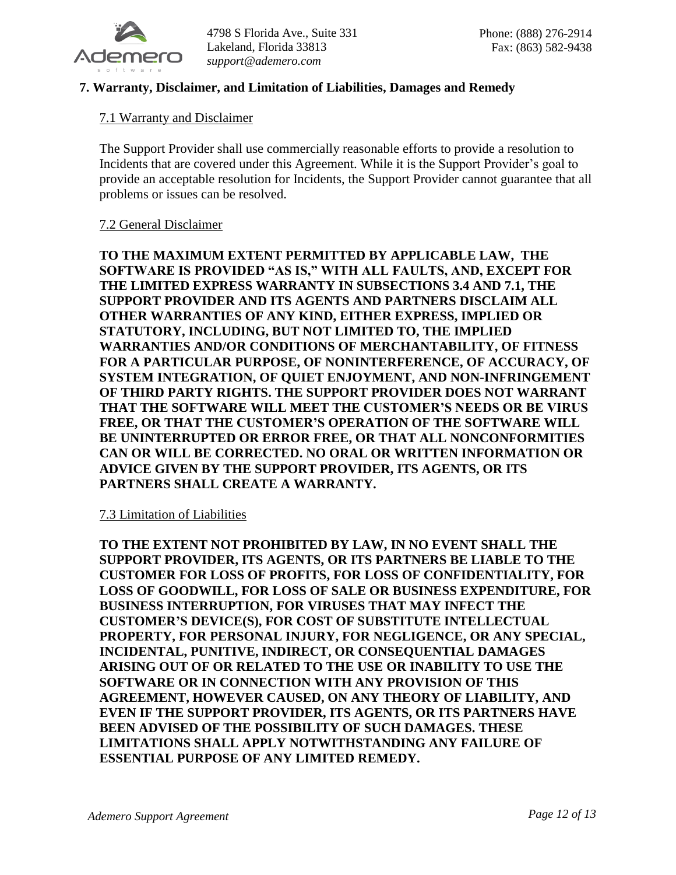

4798 S Florida Ave., Suite 331 Lakeland, Florida 33813 *support@ademero.com*

# **7. Warranty, Disclaimer, and Limitation of Liabilities, Damages and Remedy**

## 7.1 Warranty and Disclaimer

The Support Provider shall use commercially reasonable efforts to provide a resolution to Incidents that are covered under this Agreement. While it is the Support Provider's goal to provide an acceptable resolution for Incidents, the Support Provider cannot guarantee that all problems or issues can be resolved.

## 7.2 General Disclaimer

**TO THE MAXIMUM EXTENT PERMITTED BY APPLICABLE LAW, THE SOFTWARE IS PROVIDED "AS IS," WITH ALL FAULTS, AND, EXCEPT FOR THE LIMITED EXPRESS WARRANTY IN SUBSECTIONS 3.4 AND 7.1, THE SUPPORT PROVIDER AND ITS AGENTS AND PARTNERS DISCLAIM ALL OTHER WARRANTIES OF ANY KIND, EITHER EXPRESS, IMPLIED OR STATUTORY, INCLUDING, BUT NOT LIMITED TO, THE IMPLIED WARRANTIES AND/OR CONDITIONS OF MERCHANTABILITY, OF FITNESS FOR A PARTICULAR PURPOSE, OF NONINTERFERENCE, OF ACCURACY, OF SYSTEM INTEGRATION, OF QUIET ENJOYMENT, AND NON-INFRINGEMENT OF THIRD PARTY RIGHTS. THE SUPPORT PROVIDER DOES NOT WARRANT THAT THE SOFTWARE WILL MEET THE CUSTOMER'S NEEDS OR BE VIRUS FREE, OR THAT THE CUSTOMER'S OPERATION OF THE SOFTWARE WILL BE UNINTERRUPTED OR ERROR FREE, OR THAT ALL NONCONFORMITIES CAN OR WILL BE CORRECTED. NO ORAL OR WRITTEN INFORMATION OR ADVICE GIVEN BY THE SUPPORT PROVIDER, ITS AGENTS, OR ITS PARTNERS SHALL CREATE A WARRANTY.**

## 7.3 Limitation of Liabilities

**TO THE EXTENT NOT PROHIBITED BY LAW, IN NO EVENT SHALL THE SUPPORT PROVIDER, ITS AGENTS, OR ITS PARTNERS BE LIABLE TO THE CUSTOMER FOR LOSS OF PROFITS, FOR LOSS OF CONFIDENTIALITY, FOR LOSS OF GOODWILL, FOR LOSS OF SALE OR BUSINESS EXPENDITURE, FOR BUSINESS INTERRUPTION, FOR VIRUSES THAT MAY INFECT THE CUSTOMER'S DEVICE(S), FOR COST OF SUBSTITUTE INTELLECTUAL PROPERTY, FOR PERSONAL INJURY, FOR NEGLIGENCE, OR ANY SPECIAL, INCIDENTAL, PUNITIVE, INDIRECT, OR CONSEQUENTIAL DAMAGES ARISING OUT OF OR RELATED TO THE USE OR INABILITY TO USE THE SOFTWARE OR IN CONNECTION WITH ANY PROVISION OF THIS AGREEMENT, HOWEVER CAUSED, ON ANY THEORY OF LIABILITY, AND EVEN IF THE SUPPORT PROVIDER, ITS AGENTS, OR ITS PARTNERS HAVE BEEN ADVISED OF THE POSSIBILITY OF SUCH DAMAGES. THESE LIMITATIONS SHALL APPLY NOTWITHSTANDING ANY FAILURE OF ESSENTIAL PURPOSE OF ANY LIMITED REMEDY.**